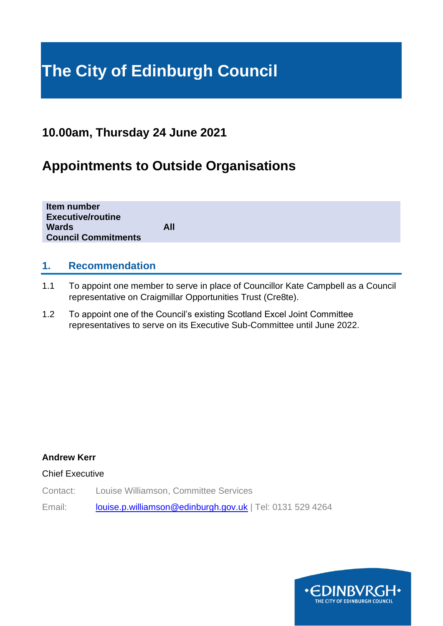# **The City of Edinburgh Council**

## **10.00am, Thursday 24 June 2021**

# **Appointments to Outside Organisations**

| Item number<br><b>Executive/routine</b> |     |  |
|-----------------------------------------|-----|--|
| <b>Wards</b>                            | All |  |
| <b>Council Commitments</b>              |     |  |
|                                         |     |  |

#### **1. Recommendation**

- 1.1 To appoint one member to serve in place of Councillor Kate Campbell as a Council representative on Craigmillar Opportunities Trust (Cre8te).
- 1.2 To appoint one of the Council's existing Scotland Excel Joint Committee representatives to serve on its Executive Sub-Committee until June 2022.

#### **Andrew Kerr**

#### Chief Executive

Contact: Louise Williamson, Committee Services

Email: [louise.p.williamson@edinburgh.gov.uk](mailto:louise.p.williamson@edinburgh.gov.uk) | Tel: 0131 529 4264

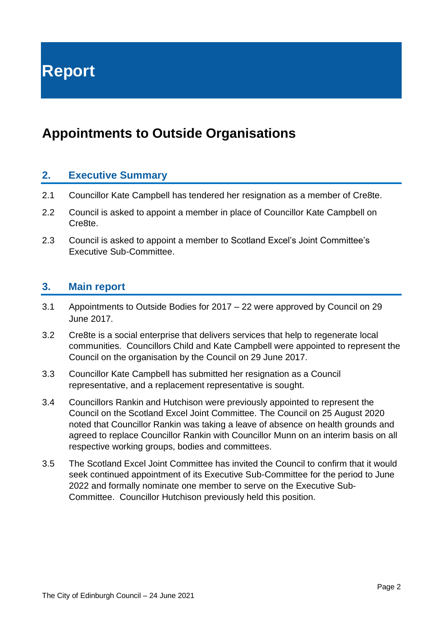**Report**

## **Appointments to Outside Organisations**

#### **2. Executive Summary**

- 2.1 Councillor Kate Campbell has tendered her resignation as a member of Cre8te.
- 2.2 Council is asked to appoint a member in place of Councillor Kate Campbell on Cre8te.
- 2.3 Council is asked to appoint a member to Scotland Excel's Joint Committee's Executive Sub-Committee.

#### **3. Main report**

- 3.1 Appointments to Outside Bodies for 2017 22 were approved by Council on 29 June 2017.
- 3.2 Cre8te is a social enterprise that delivers services that help to regenerate local communities. Councillors Child and Kate Campbell were appointed to represent the Council on the organisation by the Council on 29 June 2017.
- 3.3 Councillor Kate Campbell has submitted her resignation as a Council representative, and a replacement representative is sought.
- 3.4 Councillors Rankin and Hutchison were previously appointed to represent the Council on the Scotland Excel Joint Committee. The Council on 25 August 2020 noted that Councillor Rankin was taking a leave of absence on health grounds and agreed to replace Councillor Rankin with Councillor Munn on an interim basis on all respective working groups, bodies and committees.
- 3.5 The Scotland Excel Joint Committee has invited the Council to confirm that it would seek continued appointment of its Executive Sub-Committee for the period to June 2022 and formally nominate one member to serve on the Executive Sub-Committee. Councillor Hutchison previously held this position.